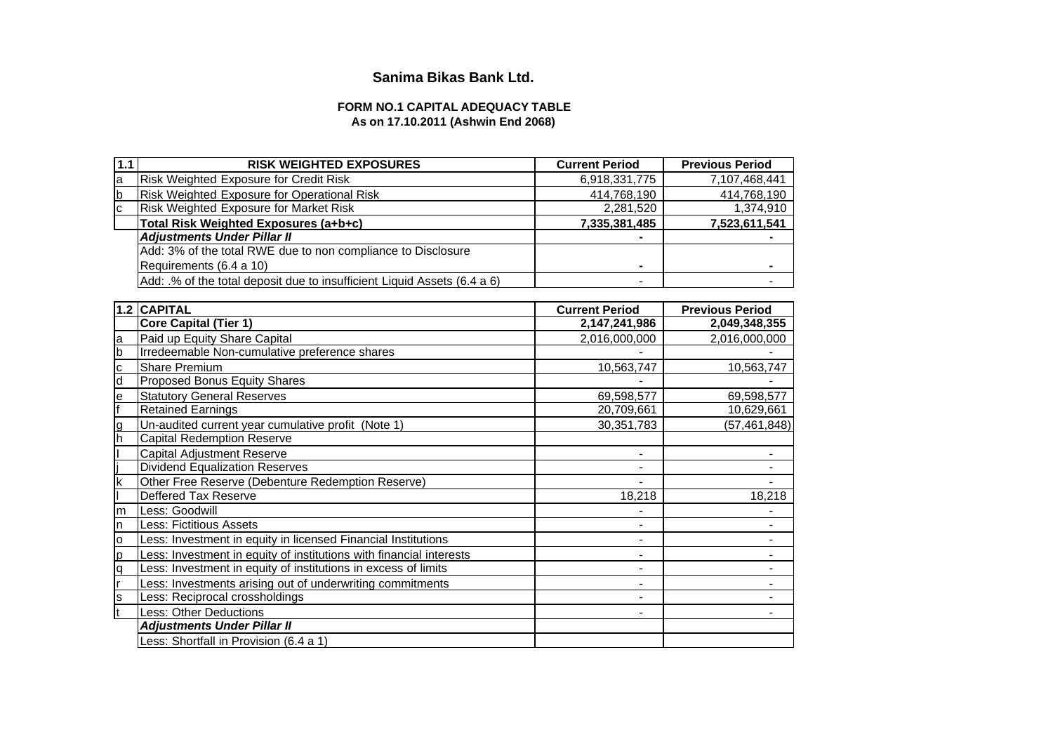# **Sanima Bikas Bank Ltd.**

## **FORM NO.1 CAPITAL ADEQUACY TABLE As on 17.10.2011 (Ashwin End 2068)**

| 1.1         | <b>RISK WEIGHTED EXPOSURES</b>                                           | <b>Current Period</b>        | <b>Previous Period</b> |
|-------------|--------------------------------------------------------------------------|------------------------------|------------------------|
| a           | Risk Weighted Exposure for Credit Risk                                   | 6,918,331,775                | 7,107,468,441          |
| $\mathbf b$ | Risk Weighted Exposure for Operational Risk                              | 414,768,190                  | 414,768,190            |
| C           | Risk Weighted Exposure for Market Risk                                   | 2,281,520                    | 1,374,910              |
|             | Total Risk Weighted Exposures (a+b+c)                                    | 7,335,381,485                | 7,523,611,541          |
|             | <b>Adjustments Under Pillar II</b>                                       |                              |                        |
|             | Add: 3% of the total RWE due to non compliance to Disclosure             |                              |                        |
|             | Requirements (6.4 a 10)                                                  |                              |                        |
|             | Add: .% of the total deposit due to insufficient Liquid Assets (6.4 a 6) |                              |                        |
|             |                                                                          |                              |                        |
| 1.2         | <b>CAPITAL</b>                                                           | <b>Current Period</b>        | <b>Previous Period</b> |
|             | <b>Core Capital (Tier 1)</b>                                             | 2,147,241,986                | 2,049,348,355          |
| a           | Paid up Equity Share Capital                                             | 2,016,000,000                | 2,016,000,000          |
| b           | Irredeemable Non-cumulative preference shares                            |                              |                        |
| C           | <b>Share Premium</b>                                                     | 10,563,747                   | 10,563,747             |
| d           | Proposed Bonus Equity Shares                                             |                              |                        |
| e           | <b>Statutory General Reserves</b>                                        | 69,598,577                   | 69,598,577             |
|             | <b>Retained Earnings</b>                                                 | 20,709,661                   | 10,629,661             |
| g           | Un-audited current year cumulative profit (Note 1)                       | 30, 351, 783                 | (57, 461, 848)         |
| h           | <b>Capital Redemption Reserve</b>                                        |                              |                        |
|             | Capital Adjustment Reserve                                               | $\blacksquare$               |                        |
|             | <b>Dividend Equalization Reserves</b>                                    | $\overline{\phantom{a}}$     |                        |
| $\mathsf k$ | Other Free Reserve (Debenture Redemption Reserve)                        |                              |                        |
|             | Deffered Tax Reserve                                                     | 18,218                       | 18,218                 |
| m           | Less: Goodwill                                                           |                              |                        |
| n           | ess: Fictitious Assets                                                   | $\qquad \qquad \blacksquare$ |                        |
| O           | Less: Investment in equity in licensed Financial Institutions            | $\blacksquare$               |                        |
| D           | Less: Investment in equity of institutions with financial interests      | $\overline{\phantom{a}}$     |                        |
| q           | Less: Investment in equity of institutions in excess of limits           | $\overline{a}$               |                        |
|             | ess: Investments arising out of underwriting commitments                 | $\overline{\phantom{0}}$     |                        |
| ls          | Less: Reciprocal crossholdings                                           | $\blacksquare$               |                        |
| It          | <b>Less: Other Deductions</b>                                            | $\blacksquare$               |                        |
|             | <b>Adjustments Under Pillar II</b>                                       |                              |                        |
|             | ess: Shortfall in Provision (6.4 a 1)                                    |                              |                        |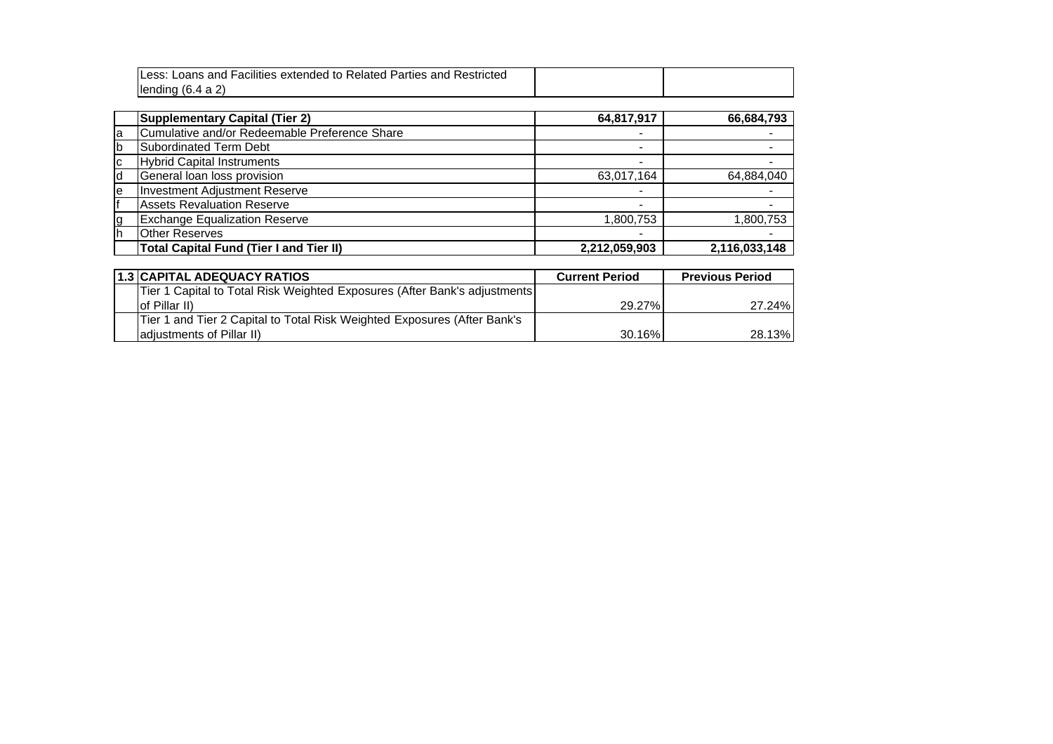|   | Less: Loans and Facilities extended to Related Parties and Restricted |                          |               |
|---|-----------------------------------------------------------------------|--------------------------|---------------|
|   | lending $(6.4 a 2)$                                                   |                          |               |
|   |                                                                       |                          |               |
|   | <b>Supplementary Capital (Tier 2)</b>                                 | 64,817,917               | 66,684,793    |
| a | Cumulative and/or Redeemable Preference Share                         |                          |               |
| b | Subordinated Term Debt                                                |                          |               |
| С | <b>Hybrid Capital Instruments</b>                                     | ۰                        |               |
| d | General loan loss provision                                           | 63,017,164               | 64,884,040    |
| e | <b>Investment Adjustment Reserve</b>                                  |                          |               |
|   | <b>Assets Revaluation Reserve</b>                                     | $\qquad \qquad$          |               |
| g | <b>Exchange Equalization Reserve</b>                                  | 1,800,753                | 1,800,753     |
| h | <b>Other Reserves</b>                                                 | $\overline{\phantom{0}}$ |               |
|   | <b>Total Capital Fund (Tier I and Tier II)</b>                        | 2,212,059,903            | 2,116,033,148 |

| <b>1.3 CAPITAL ADEQUACY RATIOS</b>                                        | <b>Current Period</b> | <b>Previous Period</b> |
|---------------------------------------------------------------------------|-----------------------|------------------------|
| Tier 1 Capital to Total Risk Weighted Exposures (After Bank's adjustments |                       |                        |
| lof Pillar II)                                                            | 29.27%                | 27.24%                 |
| Tier 1 and Tier 2 Capital to Total Risk Weighted Exposures (After Bank's  |                       |                        |
| adjustments of Pillar II)                                                 | 30.16%                | 28.13%                 |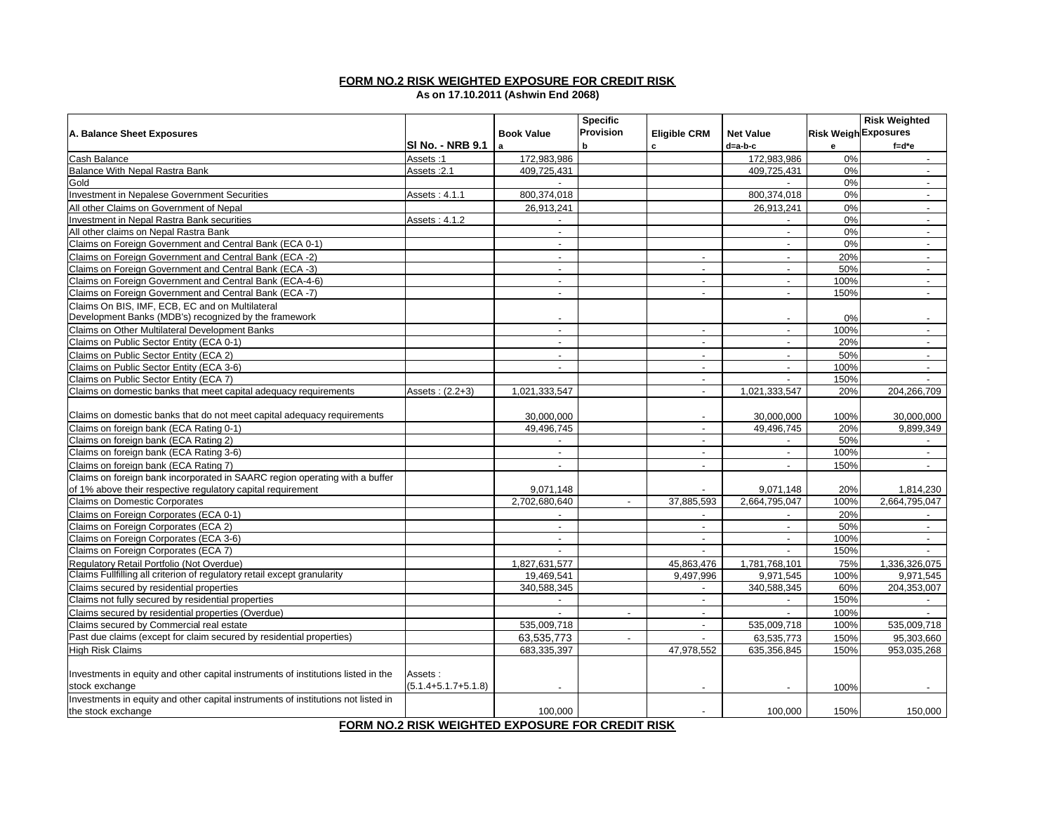### **FORM NO.2 RISK WEIGHTED EXPOSURE FOR CREDIT RISK**

**As on 17.10.2011 (Ashwin End 2068)**

|                                                                                   |                                                                                                                                                                                                                                                                                                           |                          | <b>Specific</b> |                             |                          |                             | <b>Risk Weighted</b>        |
|-----------------------------------------------------------------------------------|-----------------------------------------------------------------------------------------------------------------------------------------------------------------------------------------------------------------------------------------------------------------------------------------------------------|--------------------------|-----------------|-----------------------------|--------------------------|-----------------------------|-----------------------------|
| A. Balance Sheet Exposures                                                        |                                                                                                                                                                                                                                                                                                           | <b>Book Value</b>        | Provision       | <b>Eligible CRM</b>         | <b>Net Value</b>         | <b>Risk Weigh Exposures</b> |                             |
|                                                                                   | SI No. - NRB 9.1                                                                                                                                                                                                                                                                                          | l a                      | b               | c                           | d=a-b-c                  | e                           | $f = d^*e$                  |
| Cash Balance                                                                      | Assets:1                                                                                                                                                                                                                                                                                                  | 172,983,986              |                 |                             | 172,983,986              | 0%                          | $\sim$                      |
| <b>Balance With Nepal Rastra Bank</b>                                             | Assets: 2.1                                                                                                                                                                                                                                                                                               | 409,725,431              |                 |                             | 409,725,431              | 0%                          | $\overline{\phantom{a}}$    |
| Gold                                                                              |                                                                                                                                                                                                                                                                                                           | $\sim$                   |                 |                             |                          | 0%                          | $\sim$                      |
| <b>Investment in Nepalese Government Securities</b>                               | Assets: 4.1.1                                                                                                                                                                                                                                                                                             | 800,374,018              |                 |                             | 800,374,018              | 0%                          | $\sim$                      |
| All other Claims on Government of Nepal                                           |                                                                                                                                                                                                                                                                                                           | 26,913,241               |                 |                             | 26,913,241               | 0%                          | $\overline{\phantom{a}}$    |
| <b>Investment in Nepal Rastra Bank securities</b>                                 | Assets: 4.1.2                                                                                                                                                                                                                                                                                             | $\overline{\phantom{a}}$ |                 |                             | $\overline{\phantom{a}}$ | 0%                          | $\overline{\phantom{a}}$    |
| All other claims on Nepal Rastra Bank                                             |                                                                                                                                                                                                                                                                                                           | $\sim$                   |                 |                             | $\sim$                   | 0%                          | $\sim$                      |
| Claims on Foreign Government and Central Bank (ECA 0-1)                           |                                                                                                                                                                                                                                                                                                           | $\overline{a}$           |                 |                             | $\sim$                   | 0%                          | $\sim$                      |
| Claims on Foreign Government and Central Bank (ECA -2)                            |                                                                                                                                                                                                                                                                                                           | $\sim$                   |                 | $\mathbf{r}$                | $\sim$                   | 20%                         | $\mathcal{L}_{\mathcal{A}}$ |
| Claims on Foreign Government and Central Bank (ECA -3)                            |                                                                                                                                                                                                                                                                                                           | $\sim$                   |                 | $\blacksquare$              | $\blacksquare$           | 50%                         | $\sim$                      |
| Claims on Foreign Government and Central Bank (ECA-4-6)                           |                                                                                                                                                                                                                                                                                                           | $\blacksquare$           |                 | $\sim$                      | $\sim$                   | 100%                        | $\sim$                      |
| Claims on Foreign Government and Central Bank (ECA -7)                            |                                                                                                                                                                                                                                                                                                           | $\sim$                   |                 | $\blacksquare$              | $\blacksquare$           | 150%                        | $\blacksquare$              |
| Claims On BIS, IMF, ECB, EC and on Multilateral                                   |                                                                                                                                                                                                                                                                                                           |                          |                 |                             |                          |                             |                             |
| Development Banks (MDB's) recognized by the framework                             |                                                                                                                                                                                                                                                                                                           |                          |                 |                             |                          | 0%                          |                             |
| Claims on Other Multilateral Development Banks                                    |                                                                                                                                                                                                                                                                                                           | $\blacksquare$           |                 | $\mathbf{r}$                | $\sim$                   | 100%                        | $\sim$                      |
| Claims on Public Sector Entity (ECA 0-1)                                          |                                                                                                                                                                                                                                                                                                           | $\blacksquare$           |                 | $\overline{\phantom{a}}$    | $\overline{\phantom{a}}$ | 20%                         | $\sim$                      |
| Claims on Public Sector Entity (ECA 2)                                            |                                                                                                                                                                                                                                                                                                           | $\overline{a}$           |                 | $\sim$                      | $\sim$                   | 50%                         | $\sim$                      |
| Claims on Public Sector Entity (ECA 3-6)                                          |                                                                                                                                                                                                                                                                                                           | $\blacksquare$           |                 | $\blacksquare$              | $\blacksquare$           | 100%                        | $\sim$                      |
| Claims on Public Sector Entity (ECA 7)                                            |                                                                                                                                                                                                                                                                                                           |                          |                 | $\sim$                      | $\sim$                   | 150%                        | $\sim$                      |
| Claims on domestic banks that meet capital adequacy requirements                  | Assets: (2.2+3)                                                                                                                                                                                                                                                                                           | 1,021,333,547            |                 | $\blacksquare$              | 1,021,333,547            | 20%                         | 204,266,709                 |
|                                                                                   |                                                                                                                                                                                                                                                                                                           |                          |                 |                             |                          |                             |                             |
| Claims on domestic banks that do not meet capital adequacy requirements           |                                                                                                                                                                                                                                                                                                           | 30,000,000               |                 | $\overline{\phantom{a}}$    | 30,000,000               | 100%                        | 30,000,000                  |
| Claims on foreign bank (ECA Rating 0-1)                                           |                                                                                                                                                                                                                                                                                                           | 49,496,745               |                 | $\blacksquare$              | 49,496,745               | 20%                         | 9,899,349                   |
| Claims on foreign bank (ECA Rating 2)                                             |                                                                                                                                                                                                                                                                                                           |                          |                 | $\blacksquare$              |                          | 50%                         |                             |
| Claims on foreign bank (ECA Rating 3-6)                                           |                                                                                                                                                                                                                                                                                                           | $\overline{\phantom{a}}$ |                 | $\overline{\phantom{a}}$    | $\sim$                   | 100%                        | $\sim$                      |
| Claims on foreign bank (ECA Rating 7)                                             |                                                                                                                                                                                                                                                                                                           |                          |                 | $\overline{a}$              | $\overline{\phantom{a}}$ | 150%                        | $\sim$                      |
| Claims on foreign bank incorporated in SAARC region operating with a buffer       |                                                                                                                                                                                                                                                                                                           |                          |                 |                             |                          |                             |                             |
| of 1% above their respective regulatory capital requirement                       |                                                                                                                                                                                                                                                                                                           | 9,071,148                |                 |                             | 9,071,148                | 20%                         | 1,814,230                   |
| Claims on Domestic Corporates                                                     |                                                                                                                                                                                                                                                                                                           | 2,702,680,640            | $\sim$          | 37,885,593                  | 2,664,795,047            | 100%                        | 2,664,795,047               |
| Claims on Foreign Corporates (ECA 0-1)                                            |                                                                                                                                                                                                                                                                                                           |                          |                 | $\overline{a}$              |                          | 20%                         |                             |
| Claims on Foreign Corporates (ECA 2)                                              |                                                                                                                                                                                                                                                                                                           | $\sim$                   |                 | $\sim$                      | $\sim$                   | 50%                         | $\sim$                      |
| Claims on Foreign Corporates (ECA 3-6)                                            |                                                                                                                                                                                                                                                                                                           | $\blacksquare$           |                 | $\overline{a}$              | $\sim$                   | 100%                        | $\sim$                      |
| Claims on Foreign Corporates (ECA 7)                                              |                                                                                                                                                                                                                                                                                                           | $\sim$                   |                 | $\mathcal{L}^{\mathcal{A}}$ | $\sim$                   | 150%                        | $\sim$                      |
| Regulatory Retail Portfolio (Not Overdue)                                         |                                                                                                                                                                                                                                                                                                           | 1,827,631,577            |                 | 45,863,476                  | 1,781,768,101            | 75%                         | 1,336,326,075               |
| Claims Fullfilling all criterion of regulatory retail except granularity          |                                                                                                                                                                                                                                                                                                           | 19.469.541               |                 | 9,497,996                   | 9,971,545                | 100%                        | 9,971,545                   |
| Claims secured by residential properties                                          |                                                                                                                                                                                                                                                                                                           | 340,588,345              |                 | $\overline{a}$              | 340,588,345              | 60%                         | 204,353,007                 |
| Claims not fully secured by residential properties                                |                                                                                                                                                                                                                                                                                                           |                          |                 | $\blacksquare$              | $\sim$                   | 150%                        | $\overline{\phantom{a}}$    |
| Claims secured by residential properties (Overdue)                                |                                                                                                                                                                                                                                                                                                           |                          | $\overline{a}$  | $\overline{\phantom{a}}$    |                          | 100%                        |                             |
| Claims secured by Commercial real estate                                          |                                                                                                                                                                                                                                                                                                           | 535,009,718              |                 | $\overline{\phantom{a}}$    | 535,009,718              | 100%                        | 535,009,718                 |
| Past due claims (except for claim secured by residential properties)              |                                                                                                                                                                                                                                                                                                           | 63,535,773               | $\sim$          |                             | 63,535,773               | 150%                        | 95,303,660                  |
| <b>High Risk Claims</b>                                                           |                                                                                                                                                                                                                                                                                                           | 683,335,397              |                 | 47,978,552                  | 635,356,845              | 150%                        | 953,035,268                 |
|                                                                                   |                                                                                                                                                                                                                                                                                                           |                          |                 |                             |                          |                             |                             |
| Investments in equity and other capital instruments of institutions listed in the | Assets:                                                                                                                                                                                                                                                                                                   |                          |                 |                             |                          |                             |                             |
| stock exchange                                                                    | $(5.1.4 + 5.1.7 + 5.1.8)$                                                                                                                                                                                                                                                                                 |                          |                 |                             |                          | 100%                        |                             |
| Investments in equity and other capital instruments of institutions not listed in |                                                                                                                                                                                                                                                                                                           |                          |                 |                             |                          |                             |                             |
| the stock exchange                                                                | $\frac{1}{2}$ = $\frac{1}{2}$ = $\frac{1}{2}$ = $\frac{1}{2}$ = $\frac{1}{2}$ = $\frac{1}{2}$ = $\frac{1}{2}$ = $\frac{1}{2}$ = $\frac{1}{2}$ = $\frac{1}{2}$ = $\frac{1}{2}$ = $\frac{1}{2}$ = $\frac{1}{2}$ = $\frac{1}{2}$ = $\frac{1}{2}$ = $\frac{1}{2}$ = $\frac{1}{2}$ = $\frac{1}{2}$ = $\frac{1$ | 100,000                  | --- ----------  |                             | 100,000                  | 150%                        | 150,000                     |

**FORM NO.2 RISK WEIGHTED EXPOSURE FOR CREDIT RISK**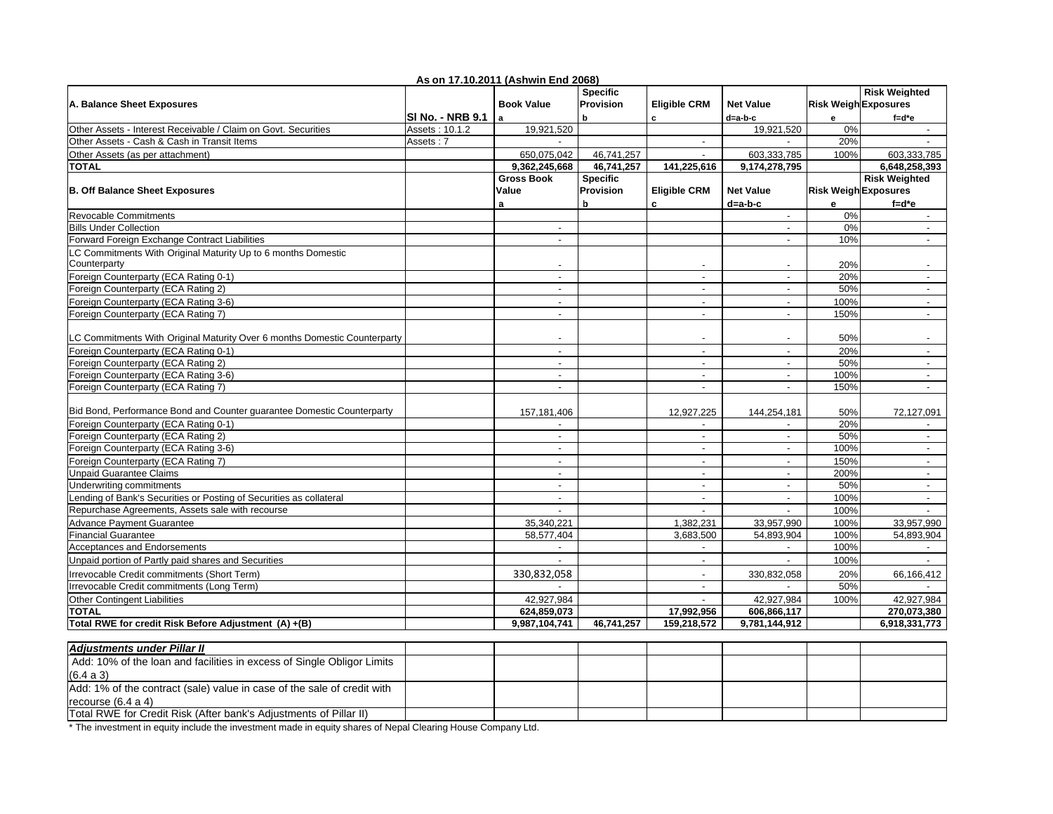|                                                                               |                  | As on 17.10.2011 (Ashwin End 2068) |                 |                          |                          |                             |                          |
|-------------------------------------------------------------------------------|------------------|------------------------------------|-----------------|--------------------------|--------------------------|-----------------------------|--------------------------|
|                                                                               |                  |                                    | <b>Specific</b> |                          |                          |                             | <b>Risk Weighted</b>     |
| A. Balance Sheet Exposures                                                    |                  | <b>Book Value</b>                  | Provision       | <b>Eligible CRM</b>      | <b>Net Value</b>         | <b>Risk Weigh Exposures</b> |                          |
|                                                                               | SI No. - NRB 9.1 | l a                                | b.              | c                        | d=a-b-c                  | е                           | $f = d^*e$               |
| Other Assets - Interest Receivable / Claim on Govt. Securities                | Assets: 10.1.2   | 19,921,520                         |                 |                          | 19,921,520               | 0%                          | $\sim$                   |
| Other Assets - Cash & Cash in Transit Items                                   | Assets: 7        | $\sim$                             |                 | $\sim$                   | $\sim$                   | 20%                         | $\sim$                   |
| Other Assets (as per attachment)                                              |                  | 650,075,042                        | 46,741,257      | $\overline{a}$           | 603,333,785              | 100%                        | 603,333,785              |
| <b>TOTAL</b>                                                                  |                  | 9,362,245,668                      | 46,741,257      | 141,225,616              | 9,174,278,795            |                             | 6,648,258,393            |
|                                                                               |                  | <b>Gross Book</b>                  | <b>Specific</b> |                          |                          |                             | <b>Risk Weighted</b>     |
| <b>B. Off Balance Sheet Exposures</b>                                         |                  | Value                              | Provision       | <b>Eligible CRM</b>      | <b>Net Value</b>         | <b>Risk Weigh Exposures</b> |                          |
|                                                                               |                  | a                                  | b               | c                        | d=a-b-c                  | е                           | $f = d^*e$               |
| Revocable Commitments                                                         |                  |                                    |                 |                          | $\mathbf{r}$             | 0%                          | $\overline{\phantom{a}}$ |
| <b>Bills Under Collection</b>                                                 |                  |                                    |                 |                          | $\overline{a}$           | 0%                          |                          |
| Forward Foreign Exchange Contract Liabilities                                 |                  | $\overline{\phantom{a}}$           |                 |                          | $\overline{\phantom{a}}$ | 10%                         | $\sim$                   |
| LC Commitments With Original Maturity Up to 6 months Domestic<br>Counterparty |                  |                                    |                 |                          |                          | 20%                         |                          |
| Foreign Counterparty (ECA Rating 0-1)                                         |                  | $\sim$                             |                 | $\blacksquare$           | $\overline{a}$           | 20%                         | $\overline{\phantom{a}}$ |
| Foreign Counterparty (ECA Rating 2)                                           |                  | $\blacksquare$                     |                 | $\overline{\phantom{a}}$ | $\overline{\phantom{a}}$ | 50%                         | $\overline{\phantom{a}}$ |
| Foreign Counterparty (ECA Rating 3-6)                                         |                  | $\sim$                             |                 | $\blacksquare$           | $\sim$                   | 100%                        | $\blacksquare$           |
| Foreign Counterparty (ECA Rating 7)                                           |                  | $\blacksquare$                     |                 | $\overline{a}$           | $\overline{\phantom{a}}$ | 150%                        | $\overline{\phantom{a}}$ |
|                                                                               |                  |                                    |                 |                          |                          |                             |                          |
| LC Commitments With Original Maturity Over 6 months Domestic Counterparty     |                  | $\overline{\phantom{a}}$           |                 | $\overline{\phantom{a}}$ | $\overline{\phantom{a}}$ | 50%                         | $\blacksquare$           |
| Foreign Counterparty (ECA Rating 0-1)                                         |                  |                                    |                 | $\overline{a}$           | $\overline{\phantom{a}}$ | 20%                         | $\blacksquare$           |
| Foreign Counterparty (ECA Rating 2)                                           |                  |                                    |                 | ÷                        | $\overline{a}$           | 50%                         | $\sim$                   |
| Foreign Counterparty (ECA Rating 3-6)                                         |                  |                                    |                 | $\overline{\phantom{a}}$ | $\blacksquare$           | 100%                        | $\overline{\phantom{a}}$ |
| Foreign Counterparty (ECA Rating 7)                                           |                  | $\blacksquare$                     |                 | $\blacksquare$           | $\mathbf{r}$             | 150%                        | $\overline{\phantom{a}}$ |
| Bid Bond, Performance Bond and Counter guarantee Domestic Counterparty        |                  | 157,181,406                        |                 | 12,927,225               | 144,254,181              | 50%                         | 72,127,091               |
| Foreign Counterparty (ECA Rating 0-1)                                         |                  |                                    |                 |                          |                          | 20%                         |                          |
| Foreign Counterparty (ECA Rating 2)                                           |                  | $\overline{\phantom{a}}$           |                 | $\blacksquare$           | $\blacksquare$           | 50%                         | $\blacksquare$           |
| Foreign Counterparty (ECA Rating 3-6)                                         |                  | $\blacksquare$                     |                 | $\overline{a}$           | $\blacksquare$           | 100%                        | $\overline{\phantom{a}}$ |
| Foreign Counterparty (ECA Rating 7)                                           |                  | $\overline{a}$                     |                 | $\sim$                   | $\sim$                   | 150%                        | $\sim$                   |
| <b>Unpaid Guarantee Claims</b>                                                |                  | $\overline{\phantom{0}}$           |                 | $\overline{a}$           | $\overline{a}$           | 200%                        | $\overline{\phantom{a}}$ |
| Underwriting commitments                                                      |                  | $\sim$                             |                 | $\blacksquare$           | $\sim$                   | 50%                         | $\blacksquare$           |
| ending of Bank's Securities or Posting of Securities as collateral            |                  | $\blacksquare$                     |                 | $\blacksquare$           | $\blacksquare$           | 100%                        | $\overline{\phantom{a}}$ |
| Repurchase Agreements, Assets sale with recourse                              |                  | $\blacksquare$                     |                 | $\blacksquare$           | $\blacksquare$           | 100%                        | $\overline{\phantom{a}}$ |
| <b>Advance Payment Guarantee</b>                                              |                  | 35,340,221                         |                 | 1,382,231                | 33,957,990               | 100%                        | 33,957,990               |
| <b>Financial Guarantee</b>                                                    |                  | 58,577,404                         |                 | 3,683,500                | 54,893,904               | 100%                        | 54,893,904               |
| Acceptances and Endorsements                                                  |                  |                                    |                 |                          |                          | 100%                        |                          |
| Unpaid portion of Partly paid shares and Securities                           |                  | $\blacksquare$                     |                 | $\blacksquare$           | $\overline{\phantom{a}}$ | 100%                        | $\overline{\phantom{a}}$ |
| Irrevocable Credit commitments (Short Term)                                   |                  | 330,832,058                        |                 | $\overline{\phantom{a}}$ | 330,832,058              | 20%                         | 66,166,412               |
| Irrevocable Credit commitments (Long Term)                                    |                  |                                    |                 | $\overline{\phantom{a}}$ | $\sim$                   | 50%                         | $\sim$                   |
| <b>Other Contingent Liabilities</b>                                           |                  | 42,927,984                         |                 |                          | 42,927,984               | 100%                        | 42,927,984               |
| <b>TOTAL</b>                                                                  |                  | 624,859,073                        |                 | 17,992,956               | 606,866,117              |                             | 270,073,380              |
| Total RWE for credit Risk Before Adjustment (A) +(B)                          |                  | 9,987,104,741                      | 46,741,257      | 159,218,572              | 9,781,144,912            |                             | 6,918,331,773            |

| Adiustments under Pillar II                                             |  |  |  |  |
|-------------------------------------------------------------------------|--|--|--|--|
| Add: 10% of the loan and facilities in excess of Single Obligor Limits  |  |  |  |  |
| (6.4 a 3)                                                               |  |  |  |  |
| Add: 1% of the contract (sale) value in case of the sale of credit with |  |  |  |  |
| recourse $(6.4 a 4)$                                                    |  |  |  |  |
| Total RWE for Credit Risk (After bank's Adiustments of Pillar II)       |  |  |  |  |

\* The investment in equity include the investment made in equity shares of Nepal Clearing House Company Ltd.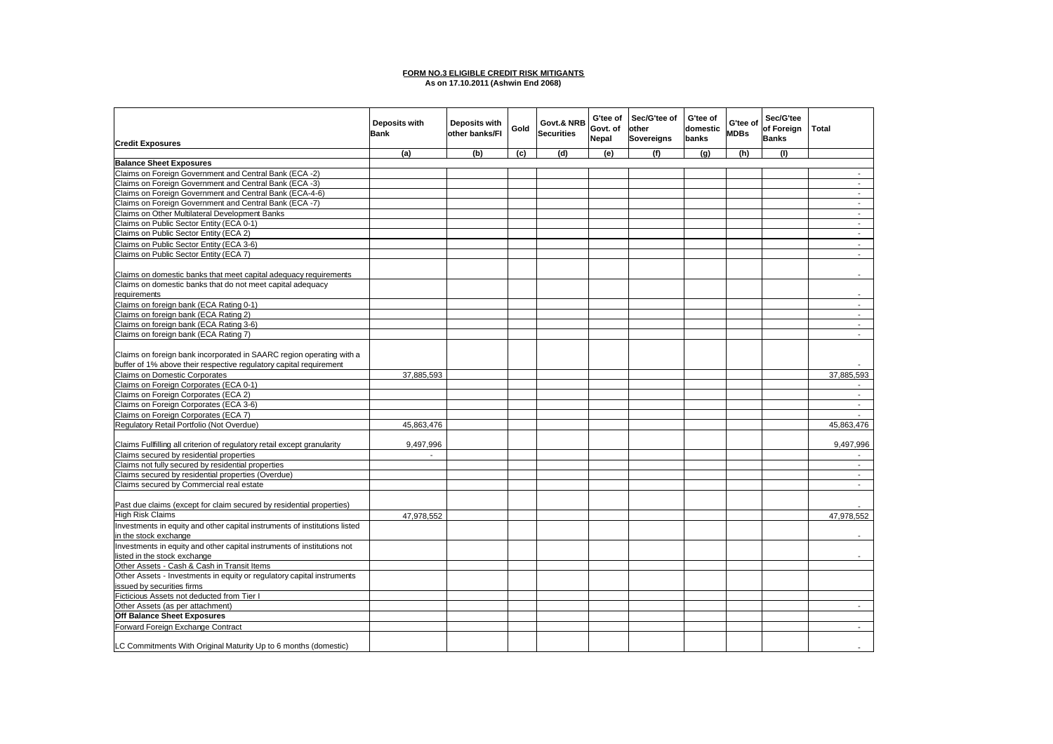#### **FORM NO.3 ELIGIBLE CREDIT RISK MITIGANTS As on 17.10.2011 (Ashwin End 2068)**

|                                                                                                         |                              |                                        |      |                                 | G'tee of | Sec/G'tee of      | G'tee of |                         | Sec/G'tee    |                             |
|---------------------------------------------------------------------------------------------------------|------------------------------|----------------------------------------|------|---------------------------------|----------|-------------------|----------|-------------------------|--------------|-----------------------------|
|                                                                                                         | Deposits with<br><b>Bank</b> | <b>Deposits with</b><br>other banks/FI | Gold | Govt.& NRB<br><b>Securities</b> | Govt. of | other             | domestic | G'tee of<br><b>MDBs</b> | of Foreign   | Total                       |
| <b>Credit Exposures</b>                                                                                 |                              |                                        |      |                                 | Nepal    | <b>Sovereigns</b> | banks    |                         | <b>Banks</b> |                             |
|                                                                                                         | (a)                          | (b)                                    | (c)  | (d)                             | (e)      | (f)               | (g)      | (h)                     | (1)          |                             |
| <b>Balance Sheet Exposures</b>                                                                          |                              |                                        |      |                                 |          |                   |          |                         |              |                             |
| Claims on Foreign Government and Central Bank (ECA -2)                                                  |                              |                                        |      |                                 |          |                   |          |                         |              |                             |
| Claims on Foreign Government and Central Bank (ECA -3)                                                  |                              |                                        |      |                                 |          |                   |          |                         |              | $\mathcal{L}$               |
| Claims on Foreign Government and Central Bank (ECA-4-6)                                                 |                              |                                        |      |                                 |          |                   |          |                         |              | $\sim$                      |
| Claims on Foreign Government and Central Bank (ECA -7)                                                  |                              |                                        |      |                                 |          |                   |          |                         |              | $\sim$                      |
| Claims on Other Multilateral Development Banks                                                          |                              |                                        |      |                                 |          |                   |          |                         |              | $\overline{\phantom{a}}$    |
| Claims on Public Sector Entity (ECA 0-1)                                                                |                              |                                        |      |                                 |          |                   |          |                         |              | $\sim$                      |
| Claims on Public Sector Entity (ECA 2)                                                                  |                              |                                        |      |                                 |          |                   |          |                         |              | $\sim$                      |
| Claims on Public Sector Entity (ECA 3-6)                                                                |                              |                                        |      |                                 |          |                   |          |                         |              | $\overline{\phantom{a}}$    |
| Claims on Public Sector Entity (ECA 7)                                                                  |                              |                                        |      |                                 |          |                   |          |                         |              | $\sim$                      |
|                                                                                                         |                              |                                        |      |                                 |          |                   |          |                         |              |                             |
| Claims on domestic banks that meet capital adequacy requirements                                        |                              |                                        |      |                                 |          |                   |          |                         |              |                             |
| Claims on domestic banks that do not meet capital adequacy                                              |                              |                                        |      |                                 |          |                   |          |                         |              |                             |
| requirements                                                                                            |                              |                                        |      |                                 |          |                   |          |                         |              |                             |
| Claims on foreign bank (ECA Rating 0-1)                                                                 |                              |                                        |      |                                 |          |                   |          |                         |              | $\mathcal{L}_{\mathcal{A}}$ |
| Claims on foreign bank (ECA Rating 2)                                                                   |                              |                                        |      |                                 |          |                   |          |                         |              | $\sim$                      |
| Claims on foreign bank (ECA Rating 3-6)                                                                 |                              |                                        |      |                                 |          |                   |          |                         |              | $\sim$                      |
|                                                                                                         |                              |                                        |      |                                 |          |                   |          |                         |              | $\blacksquare$              |
| Claims on foreign bank (ECA Rating 7)                                                                   |                              |                                        |      |                                 |          |                   |          |                         |              |                             |
|                                                                                                         |                              |                                        |      |                                 |          |                   |          |                         |              |                             |
| Claims on foreign bank incorporated in SAARC region operating with a                                    |                              |                                        |      |                                 |          |                   |          |                         |              |                             |
| buffer of 1% above their respective regulatory capital requirement                                      |                              |                                        |      |                                 |          |                   |          |                         |              |                             |
| <b>Claims on Domestic Corporates</b>                                                                    | 37,885,593                   |                                        |      |                                 |          |                   |          |                         |              | 37,885,593                  |
| Claims on Foreign Corporates (ECA 0-1)                                                                  |                              |                                        |      |                                 |          |                   |          |                         |              |                             |
| Claims on Foreign Corporates (ECA 2)                                                                    |                              |                                        |      |                                 |          |                   |          |                         |              | $\sim$                      |
| Claims on Foreign Corporates (ECA 3-6)                                                                  |                              |                                        |      |                                 |          |                   |          |                         |              | $\sim$                      |
| Claims on Foreign Corporates (ECA 7)                                                                    |                              |                                        |      |                                 |          |                   |          |                         |              |                             |
| Regulatory Retail Portfolio (Not Overdue)                                                               | 45,863,476                   |                                        |      |                                 |          |                   |          |                         |              | 45,863,476                  |
| Claims Fullfilling all criterion of regulatory retail except granularity                                | 9,497,996                    |                                        |      |                                 |          |                   |          |                         |              | 9,497,996                   |
| Claims secured by residential properties                                                                |                              |                                        |      |                                 |          |                   |          |                         |              |                             |
| Claims not fully secured by residential properties                                                      |                              |                                        |      |                                 |          |                   |          |                         |              | $\blacksquare$              |
| Claims secured by residential properties (Overdue)                                                      |                              |                                        |      |                                 |          |                   |          |                         |              | $\sim$                      |
| Claims secured by Commercial real estate                                                                |                              |                                        |      |                                 |          |                   |          |                         |              | $\overline{\phantom{a}}$    |
|                                                                                                         |                              |                                        |      |                                 |          |                   |          |                         |              |                             |
| Past due claims (except for claim secured by residential properties)                                    |                              |                                        |      |                                 |          |                   |          |                         |              |                             |
| <b>High Risk Claims</b>                                                                                 | 47,978,552                   |                                        |      |                                 |          |                   |          |                         |              | 47,978,552                  |
| Investments in equity and other capital instruments of institutions listed                              |                              |                                        |      |                                 |          |                   |          |                         |              |                             |
| in the stock exchange                                                                                   |                              |                                        |      |                                 |          |                   |          |                         |              |                             |
| Investments in equity and other capital instruments of institutions not<br>listed in the stock exchange |                              |                                        |      |                                 |          |                   |          |                         |              |                             |
| Other Assets - Cash & Cash in Transit Items                                                             |                              |                                        |      |                                 |          |                   |          |                         |              |                             |
| Other Assets - Investments in equity or regulatory capital instruments                                  |                              |                                        |      |                                 |          |                   |          |                         |              |                             |
| issued by securities firms                                                                              |                              |                                        |      |                                 |          |                   |          |                         |              |                             |
| Ficticious Assets not deducted from Tier I                                                              |                              |                                        |      |                                 |          |                   |          |                         |              |                             |
| Other Assets (as per attachment)                                                                        |                              |                                        |      |                                 |          |                   |          |                         |              | $\sim$                      |
| Off Balance Sheet Exposures                                                                             |                              |                                        |      |                                 |          |                   |          |                         |              |                             |
| Forward Foreign Exchange Contract                                                                       |                              |                                        |      |                                 |          |                   |          |                         |              |                             |
| LC Commitments With Original Maturity Up to 6 months (domestic)                                         |                              |                                        |      |                                 |          |                   |          |                         |              |                             |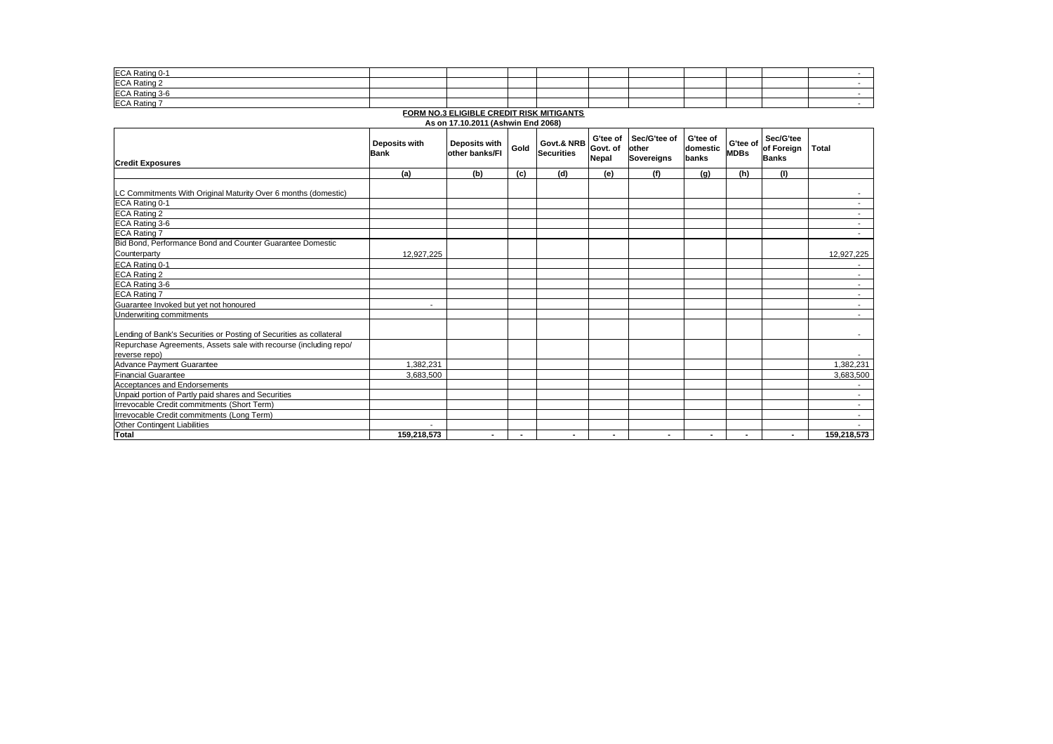| ECA Rating 0-1 |  |  |  |  |  |
|----------------|--|--|--|--|--|
| ECA Rating 2   |  |  |  |  |  |
| ECA Rating 3-6 |  |  |  |  |  |
| ECA Rating 7   |  |  |  |  |  |

**FORM NO.3 ELIGIBLE CREDIT RISK MITIGANTS**

**As on 17.10.2011 (Ashwin End 2068)**

|                                                                     | Deposits with<br><b>Bank</b> | Deposits with<br>other banks/FI | Gold           | Govt.& NRB<br><b>Securities</b> | G'tee of<br>Govt. of<br>Nepal | Sec/G'tee of<br>other<br>Sovereigns | G'tee of<br>domestic<br>banks | G'tee of<br><b>MDBs</b> | Sec/G'tee<br>of Foreign<br><b>Banks</b> | Total                    |
|---------------------------------------------------------------------|------------------------------|---------------------------------|----------------|---------------------------------|-------------------------------|-------------------------------------|-------------------------------|-------------------------|-----------------------------------------|--------------------------|
| <b>Credit Exposures</b>                                             |                              |                                 |                |                                 |                               |                                     |                               |                         |                                         |                          |
|                                                                     | (a)                          | (b)                             | (c)            | (d)                             | (e)                           | (f)                                 | (g)                           | (h)                     | (1)                                     |                          |
| LC Commitments With Original Maturity Over 6 months (domestic)      |                              |                                 |                |                                 |                               |                                     |                               |                         |                                         |                          |
| ECA Rating 0-1                                                      |                              |                                 |                |                                 |                               |                                     |                               |                         |                                         | $\sim$                   |
| ECA Rating 2                                                        |                              |                                 |                |                                 |                               |                                     |                               |                         |                                         | $\overline{\phantom{a}}$ |
| ECA Rating 3-6                                                      |                              |                                 |                |                                 |                               |                                     |                               |                         |                                         | ۰.                       |
| <b>ECA Rating 7</b>                                                 |                              |                                 |                |                                 |                               |                                     |                               |                         |                                         |                          |
| Bid Bond, Performance Bond and Counter Guarantee Domestic           |                              |                                 |                |                                 |                               |                                     |                               |                         |                                         |                          |
| Counterparty                                                        | 12,927,225                   |                                 |                |                                 |                               |                                     |                               |                         |                                         | 12,927,225               |
| ECA Rating 0-1                                                      |                              |                                 |                |                                 |                               |                                     |                               |                         |                                         | $\overline{\phantom{a}}$ |
| ECA Rating 2                                                        |                              |                                 |                |                                 |                               |                                     |                               |                         |                                         | $\sim$                   |
| ECA Rating 3-6                                                      |                              |                                 |                |                                 |                               |                                     |                               |                         |                                         | $\sim$                   |
| <b>ECA Rating 7</b>                                                 |                              |                                 |                |                                 |                               |                                     |                               |                         |                                         | $\sim$                   |
| Guarantee Invoked but vet not honoured                              |                              |                                 |                |                                 |                               |                                     |                               |                         |                                         | $\overline{\phantom{a}}$ |
| Underwriting commitments                                            |                              |                                 |                |                                 |                               |                                     |                               |                         |                                         | $\overline{\phantom{a}}$ |
| Lending of Bank's Securities or Posting of Securities as collateral |                              |                                 |                |                                 |                               |                                     |                               |                         |                                         | $\sim 100$               |
| Repurchase Agreements, Assets sale with recourse (including repo/   |                              |                                 |                |                                 |                               |                                     |                               |                         |                                         |                          |
| reverse repo)                                                       |                              |                                 |                |                                 |                               |                                     |                               |                         |                                         |                          |
| <b>Advance Pavment Guarantee</b>                                    | 1.382.231                    |                                 |                |                                 |                               |                                     |                               |                         |                                         | 1,382,231                |
| <b>Financial Guarantee</b>                                          | 3,683,500                    |                                 |                |                                 |                               |                                     |                               |                         |                                         | 3,683,500                |
| Acceptances and Endorsements                                        |                              |                                 |                |                                 |                               |                                     |                               |                         |                                         | $\overline{\phantom{a}}$ |
| Unpaid portion of Partly paid shares and Securities                 |                              |                                 |                |                                 |                               |                                     |                               |                         |                                         | $\sim$                   |
| Irrevocable Credit commitments (Short Term)                         |                              |                                 |                |                                 |                               |                                     |                               |                         |                                         | $\sim$                   |
| Irrevocable Credit commitments (Long Term)                          |                              |                                 |                |                                 |                               |                                     |                               |                         |                                         | $\overline{\phantom{a}}$ |
| Other Contingent Liabilities                                        |                              |                                 |                |                                 |                               |                                     |                               |                         |                                         |                          |
| <b>Total</b>                                                        | 159,218,573                  | $\overline{\phantom{a}}$        | $\blacksquare$ | $\blacksquare$                  | $\blacksquare$                | ٠                                   |                               | $\blacksquare$          |                                         | 159,218,573              |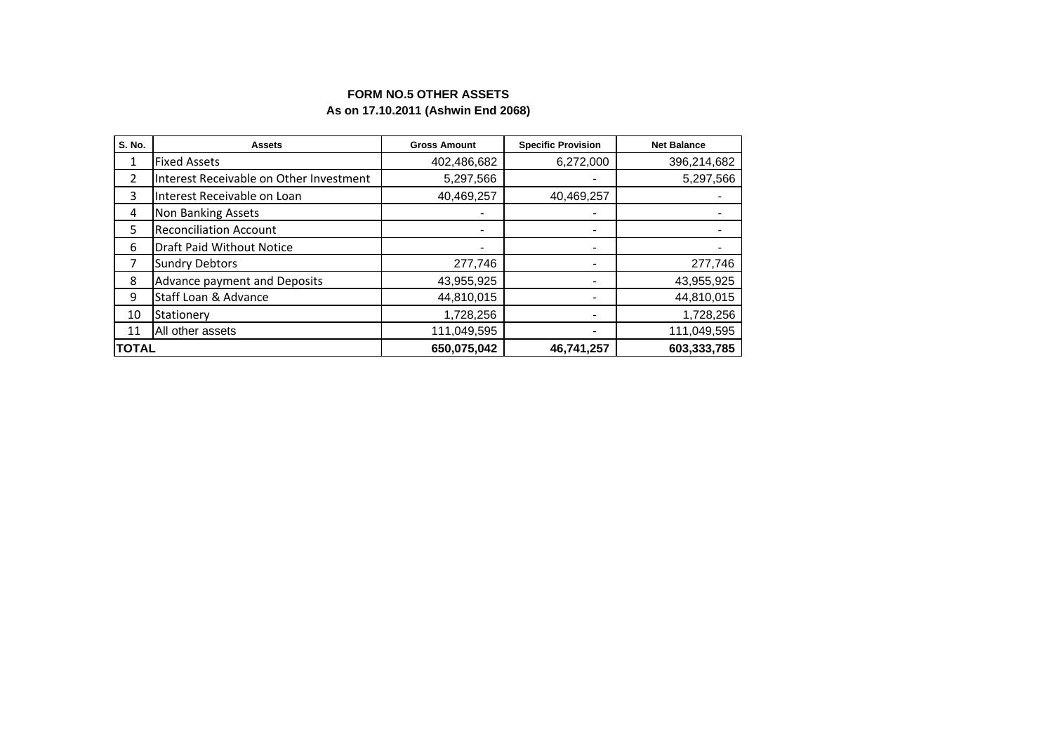## **FORM NO.5 OTHER ASSETS As on 17.10.2011 (Ashwin End 2068)**

| S. No.        | <b>Assets</b>                           | <b>Gross Amount</b>      | <b>Specific Provision</b> | <b>Net Balance</b> |  |
|---------------|-----------------------------------------|--------------------------|---------------------------|--------------------|--|
| 1             | <b>Fixed Assets</b>                     | 402,486,682              | 6,272,000                 | 396,214,682        |  |
| 2             | Interest Receivable on Other Investment | 5,297,566                |                           | 5,297,566          |  |
| 3             | Interest Receivable on Loan             | 40,469,257               | 40,469,257                |                    |  |
| 4             | <b>Non Banking Assets</b>               |                          |                           |                    |  |
| 5             | <b>Reconciliation Account</b>           | $\blacksquare$           | $\overline{\phantom{0}}$  |                    |  |
| 6             | <b>Draft Paid Without Notice</b>        | $\overline{\phantom{a}}$ | $\overline{\phantom{0}}$  |                    |  |
| 7             | <b>Sundry Debtors</b>                   | 277,746                  | $\overline{\phantom{0}}$  | 277,746            |  |
| 8             | Advance payment and Deposits            | 43,955,925               |                           | 43,955,925         |  |
| 9             | Staff Loan & Advance                    | 44,810,015               | $\overline{\phantom{0}}$  | 44,810,015         |  |
| 10            | Stationery                              | 1,728,256                | $\overline{\phantom{0}}$  | 1,728,256          |  |
| 11            | All other assets                        | 111,049,595              |                           | 111,049,595        |  |
| <b>ITOTAL</b> |                                         | 650,075,042              | 46,741,257                | 603,333,785        |  |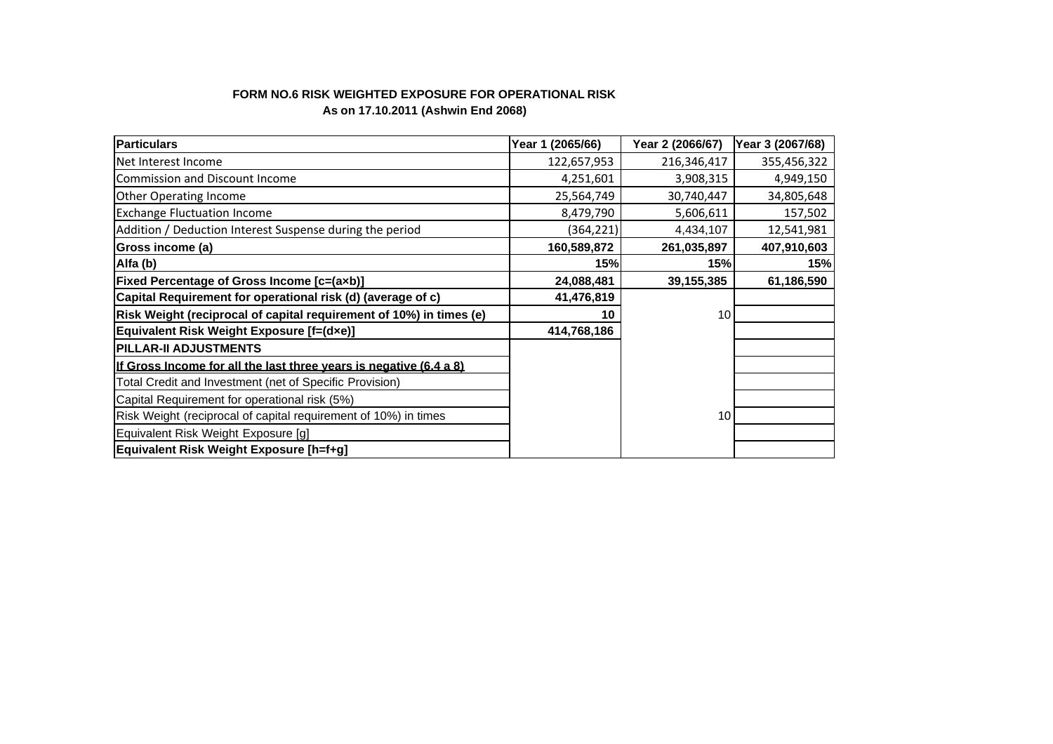## **FORM NO.6 RISK WEIGHTED EXPOSURE FOR OPERATIONAL RISK As on 17.10.2011 (Ashwin End 2068)**

| <b>Particulars</b>                                                  | Year 1 (2065/66) | Year 2 (2066/67) | Year 3 (2067/68) |
|---------------------------------------------------------------------|------------------|------------------|------------------|
| Net Interest Income                                                 | 122,657,953      | 216,346,417      | 355,456,322      |
| Commission and Discount Income                                      | 4,251,601        | 3,908,315        | 4,949,150        |
| <b>Other Operating Income</b>                                       | 25,564,749       | 30,740,447       | 34,805,648       |
| <b>Exchange Fluctuation Income</b>                                  | 8,479,790        | 5,606,611        | 157,502          |
| Addition / Deduction Interest Suspense during the period            | (364,221)        | 4,434,107        | 12,541,981       |
| Gross income (a)                                                    | 160,589,872      | 261,035,897      | 407,910,603      |
| Alfa (b)                                                            | 15%              | 15%              | 15%              |
| <b>Fixed Percentage of Gross Income [c=(axb)]</b>                   | 24,088,481       | 39,155,385       | 61,186,590       |
| Capital Requirement for operational risk (d) (average of c)         | 41,476,819       |                  |                  |
| Risk Weight (reciprocal of capital requirement of 10%) in times (e) | 10               | 10               |                  |
| Equivalent Risk Weight Exposure [f=(dxe)]                           | 414,768,186      |                  |                  |
| <b>PILLAR-II ADJUSTMENTS</b>                                        |                  |                  |                  |
| If Gross Income for all the last three years is negative (6.4 a 8)  |                  |                  |                  |
| Total Credit and Investment (net of Specific Provision)             |                  |                  |                  |
| Capital Requirement for operational risk (5%)                       |                  |                  |                  |
| Risk Weight (reciprocal of capital requirement of 10%) in times     |                  | 10               |                  |
| Equivalent Risk Weight Exposure [g]                                 |                  |                  |                  |
| Equivalent Risk Weight Exposure [h=f+g]                             |                  |                  |                  |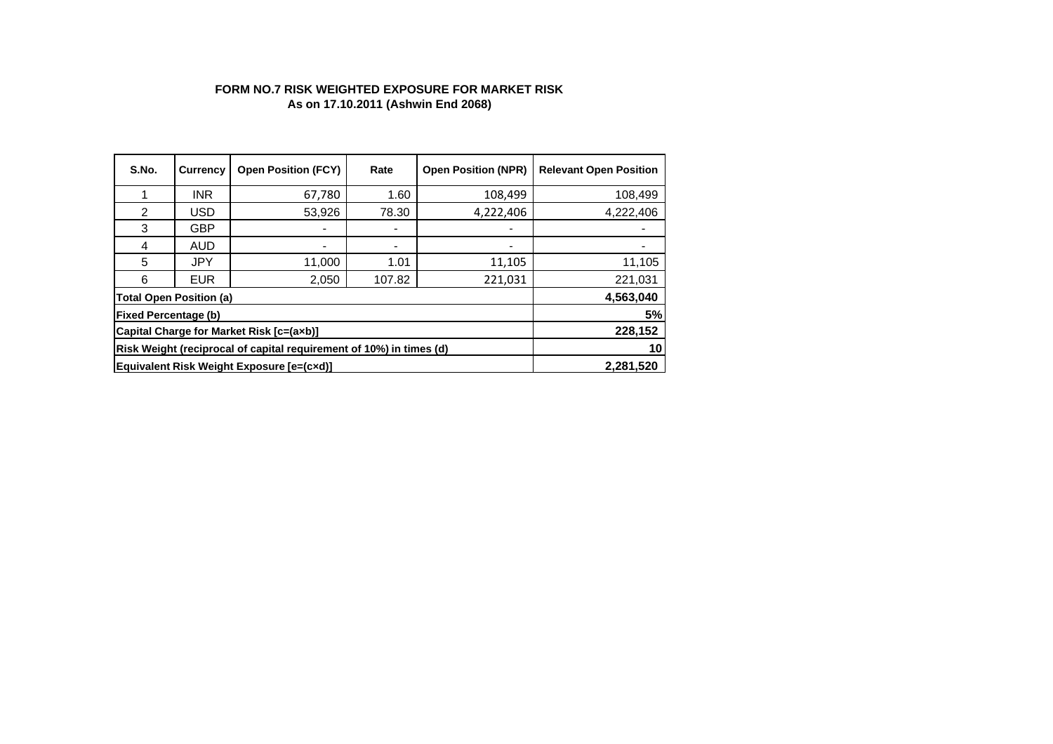### **FORM NO.7 RISK WEIGHTED EXPOSURE FOR MARKET RISK As on 17.10.2011 (Ashwin End 2068)**

| S.No.                                                               | <b>Currency</b>                           | <b>Open Position (FCY)</b> | Rate           | <b>Open Position (NPR)</b> | <b>Relevant Open Position</b> |  |  |  |  |  |
|---------------------------------------------------------------------|-------------------------------------------|----------------------------|----------------|----------------------------|-------------------------------|--|--|--|--|--|
|                                                                     | <b>INR</b>                                | 67,780                     | 1.60           | 108,499                    | 108,499                       |  |  |  |  |  |
| 2                                                                   | <b>USD</b>                                | 53,926                     | 78.30          | 4,222,406                  | 4,222,406                     |  |  |  |  |  |
| 3                                                                   | <b>GBP</b>                                |                            | $\blacksquare$ |                            |                               |  |  |  |  |  |
| 4                                                                   | <b>AUD</b>                                |                            | -              |                            |                               |  |  |  |  |  |
| 5                                                                   | <b>JPY</b>                                | 11,000                     | 1.01           | 11,105                     | 11,105                        |  |  |  |  |  |
| 6                                                                   | <b>EUR</b>                                | 2,050                      | 107.82         | 221,031                    | 221,031                       |  |  |  |  |  |
| <b>Total Open Position (a)</b>                                      |                                           |                            |                |                            | 4,563,040                     |  |  |  |  |  |
| <b>Fixed Percentage (b)</b>                                         |                                           |                            |                |                            | 5%                            |  |  |  |  |  |
| Capital Charge for Market Risk [c=(axb)]                            | 228,152                                   |                            |                |                            |                               |  |  |  |  |  |
| Risk Weight (reciprocal of capital requirement of 10%) in times (d) | 10                                        |                            |                |                            |                               |  |  |  |  |  |
|                                                                     | Equivalent Risk Weight Exposure [e=(cxd)] |                            |                |                            |                               |  |  |  |  |  |